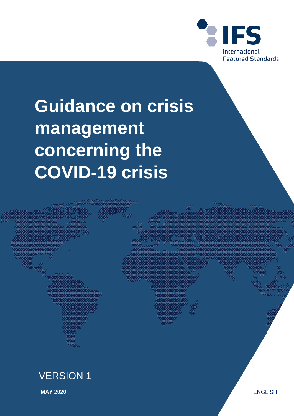

# **Guidance on crisis management concerning the COVID-19 crisis**



**MAY 2020** ENGLISH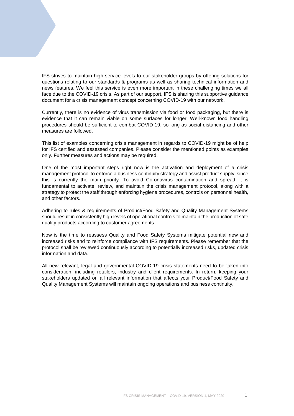IFS strives to maintain high service levels to our stakeholder groups by offering solutions for questions relating to our standards & programs as well as sharing technical information and news features. We feel this service is even more important in these challenging times we all face due to the COVID-19 crisis. As part of our support, IFS is sharing this supportive guidance document for a crisis management concept concerning COVID-19 with our network.

Currently, there is no evidence of virus transmission via food or food packaging, but there is evidence that it can remain viable on some surfaces for longer. Well-known food handling procedures should be sufficient to combat COVID-19, so long as social distancing and other measures are followed.

This list of examples concerning crisis management in regards to COVID-19 might be of help for IFS certified and assessed companies. Please consider the mentioned points as examples only. Further measures and actions may be required.

One of the most important steps right now is the activation and deployment of a crisis management protocol to enforce a business continuity strategy and assist product supply, since this is currently the main priority. To avoid Coronavirus contamination and spread, it is fundamental to activate, review, and maintain the crisis management protocol, along with a strategy to protect the staff through enforcing hygiene procedures, controls on personnel health, and other factors.

Adhering to rules & requirements of Product/Food Safety and Quality Management Systems should result in consistently high levels of operational controls to maintain the production of safe quality products according to customer agreements.

Now is the time to reassess Quality and Food Safety Systems mitigate potential new and increased risks and to reinforce compliance with IFS requirements. Please remember that the protocol shall be reviewed continuously according to potentially increased risks, updated crisis information and data.

All new relevant, legal and governmental COVID-19 crisis statements need to be taken into consideration; including retailers, industry and client requirements. In return, keeping your stakeholders updated on all relevant information that affects your Product/Food Safety and Quality Management Systems will maintain ongoing operations and business continuity.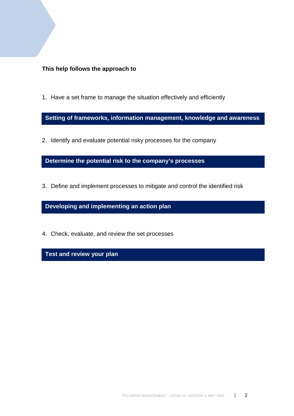**This help follows the approach to** 

1. Have a set frame to manage the situation effectively and efficiently

**Setting of frameworks, information management, knowledge and awareness**

2. Identify and evaluate potential risky processes for the company

**Determine the potential risk to the company's processes** 

3. Define and implement processes to mitigate and control the identified risk

**Developing and implementing an action plan**

4. Check, evaluate, and review the set processes

**Test and review your plan**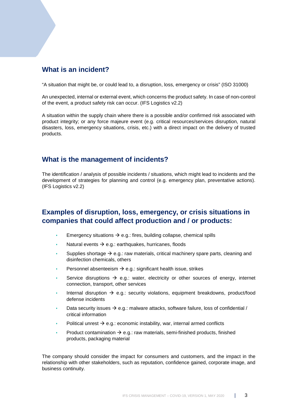# **What is an incident?**

"A situation that might be, or could lead to, a disruption, loss, emergency or crisis" (ISO 31000)

An unexpected, internal or external event, which concerns the product safety. In case of non-control of the event, a product safety risk can occur. (IFS Logistics v2.2)

A situation within the supply chain where there is a possible and/or confirmed risk associated with product integrity; or any force majeure event (e.g. critical resources/services disruption, natural disasters, loss, emergency situations, crisis, etc.) with a direct impact on the delivery of trusted products.

# **What is the management of incidents?**

The identification / analysis of possible incidents / situations, which might lead to incidents and the development of strategies for planning and control (e.g. emergency plan, preventative actions). (IFS Logistics v2.2)

# **Examples of disruption, loss, emergency, or crisis situations in companies that could affect production and / or products:**

- Emergency situations  $\rightarrow$  e.g.: fires, building collapse, chemical spills
- Natural events  $\rightarrow$  e.g.: earthquakes, hurricanes, floods
- Supplies shortage  $\rightarrow$  e.g.: raw materials, critical machinery spare parts, cleaning and disinfection chemicals, others
- Personnel absenteeism  $\rightarrow$  e.g.: significant health issue, strikes
- Service disruptions  $\rightarrow$  e.g.: water, electricity or other sources of energy, internet connection, transport, other services
- Internal disruption  $\rightarrow$  e.g.: security violations, equipment breakdowns, product/food defense incidents
- Data security issues  $\rightarrow$  e.g.: malware attacks, software failure, loss of confidential / critical information
- Political unrest  $\rightarrow$  e.g.: economic instability, war, internal armed conflicts
- Product contamination  $\rightarrow$  e.g.: raw materials, semi-finished products, finished products, packaging material

The company should consider the impact for consumers and customers, and the impact in the relationship with other stakeholders, such as reputation, confidence gained, corporate image, and business continuity.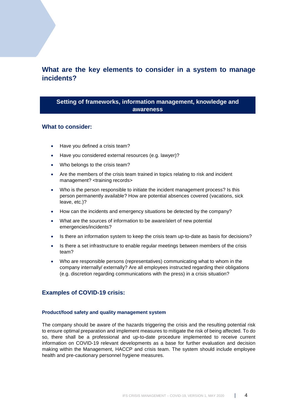# **What are the key elements to consider in a system to manage incidents?**

## **Setting of frameworks, information management, knowledge and awareness**

#### **What to consider:**

- Have you defined a crisis team?
- Have you considered external resources (e.g. lawyer)?
- Who belongs to the crisis team?
- Are the members of the crisis team trained in topics relating to risk and incident management? <training records>
- Who is the person responsible to initiate the incident management process? Is this person permanently available? How are potential absences covered (vacations, sick leave, etc.)?
- How can the incidents and emergency situations be detected by the company?
- What are the sources of information to be aware/alert of new potential emergencies/incidents?
- Is there an information system to keep the crisis team up-to-date as basis for decisions?
- Is there a set infrastructure to enable regular meetings between members of the crisis team?
- Who are responsible persons (representatives) communicating what to whom in the company internally/ externally? Are all employees instructed regarding their obligations (e.g. discretion regarding communications with the press) in a crisis situation?

# **Examples of COVID-19 crisis:**

#### **Product/food safety and quality management system**

The company should be aware of the hazards triggering the crisis and the resulting potential risk to ensure optimal preparation and implement measures to mitigate the risk of being affected. To do so, there shall be a professional and up-to-date procedure implemented to receive current information on COVID-19 relevant developments as a base for further evaluation and decision making within the Management, HACCP and crisis team. The system should include employee health and pre-cautionary personnel hygiene measures.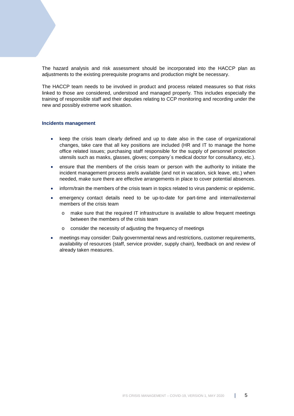The hazard analysis and risk assessment should be incorporated into the HACCP plan as adjustments to the existing prerequisite programs and production might be necessary.

The HACCP team needs to be involved in product and process related measures so that risks linked to those are considered, understood and managed properly. This includes especially the training of responsible staff and their deputies relating to CCP monitoring and recording under the new and possibly extreme work situation.

#### **Incidents management**

- keep the crisis team clearly defined and up to date also in the case of organizational changes, take care that all key positions are included (HR and IT to manage the home office related issues; purchasing staff responsible for the supply of personnel protection utensils such as masks, glasses, gloves; company`s medical doctor for consultancy, etc.).
- ensure that the members of the crisis team or person with the authority to initiate the incident management process are/is available (and not in vacation, sick leave, etc.) when needed, make sure there are effective arrangements in place to cover potential absences.
- inform/train the members of the crisis team in topics related to virus pandemic or epidemic.
- emergency contact details need to be up-to-date for part-time and internal/external members of the crisis team
	- $\circ$  make sure that the required IT infrastructure is available to allow frequent meetings between the members of the crisis team
	- o consider the necessity of adjusting the frequency of meetings
- meetings may consider: Daily governmental news and restrictions, customer requirements, availability of resources (staff, service provider, supply chain), feedback on and review of already taken measures.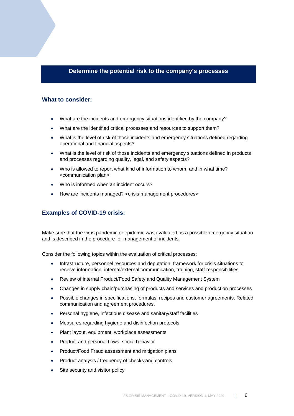## **Determine the potential risk to the company's processes**

#### **What to consider:**

- What are the incidents and emergency situations identified by the company?
- What are the identified critical processes and resources to support them?
- What is the level of risk of those incidents and emergency situations defined regarding operational and financial aspects?
- What is the level of risk of those incidents and emergency situations defined in products and processes regarding quality, legal, and safety aspects?
- Who is allowed to report what kind of information to whom, and in what time? <communication plan>
- Who is informed when an incident occurs?
- How are incidents managed? <crisis management procedures>

# **Examples of COVID-19 crisis:**

Make sure that the virus pandemic or epidemic was evaluated as a possible emergency situation and is described in the procedure for management of incidents.

Consider the following topics within the evaluation of critical processes:

- Infrastructure, personnel resources and deputation, framework for crisis situations to receive information, internal/external communication, training, staff responsibilities
- Review of internal Product/Food Safety and Quality Management System
- Changes in supply chain/purchasing of products and services and production processes
- Possible changes in specifications, formulas, recipes and customer agreements. Related communication and agreement procedures.
- Personal hygiene, infectious disease and sanitary/staff facilities
- Measures regarding hygiene and disinfection protocols
- Plant layout, equipment, workplace assessments
- Product and personal flows, social behavior
- Product/Food Fraud assessment and mitigation plans
- Product analysis / frequency of checks and controls
- Site security and visitor policy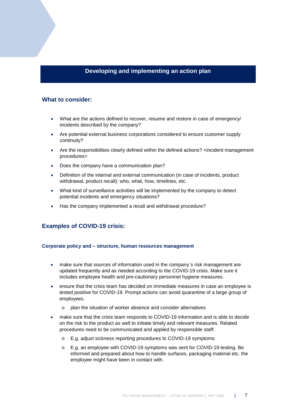# **Developing and implementing an action plan**

#### **What to consider:**

- What are the actions defined to recover, resume and restore in case of emergency/ incidents described by the company?
- Are potential external business corporations considered to ensure customer supply continuity?
- Are the responsibilities clearly defined within the defined actions? <incident management procedures>
- Does the company have a communication plan?
- Definition of the internal and external communication (in case of incidents, product withdrawal, product recall): who, what, how, timelines, etc.
- What kind of surveillance activities will be implemented by the company to detect potential incidents and emergency situations?
- Has the company implemented a recall and withdrawal procedure?

## **Examples of COVID-19 crisis:**

#### **Corporate policy and – structure, human resources management**

- make sure that sources of information used in the company's risk management are updated frequently and as needed according to the COVID-19 crisis. Make sure it includes employee health and pre-cautionary personnel hygiene measures.
- ensure that the crisis team has decided on immediate measures in case an employee is tested positive for COVID-19. Prompt actions can avoid quarantine of a large group of employees.
	- o plan the situation of worker absence and consider alternatives
- make sure that the crisis team responds to COVID-19 information and is able to decide on the risk to the product as well to initiate timely and relevant measures. Related procedures need to be communicated and applied by responsible staff:
	- o E.g. adjust sickness reporting procedures to COVID-19 symptoms
	- E.g. an employee with COVID-19 symptoms was sent for COVID-19 testing. Be informed and prepared about how to handle surfaces, packaging material etc. the employee might have been in contact with.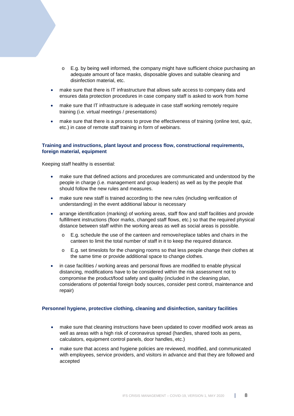- o E.g. by being well informed, the company might have sufficient choice purchasing an adequate amount of face masks, disposable gloves and suitable cleaning and disinfection material, etc.
- make sure that there is IT infrastructure that allows safe access to company data and ensures data protection procedures in case company staff is asked to work from home
- make sure that IT infrastructure is adequate in case staff working remotely require training (i.e. virtual meetings / presentations)
- make sure that there is a process to prove the effectiveness of training (online test, quiz, etc.) in case of remote staff training in form of webinars.

#### **Training and instructions, plant layout and process flow, constructional requirements, foreign material, equipment**

Keeping staff healthy is essential:

- make sure that defined actions and procedures are communicated and understood by the people in charge (i.e. management and group leaders) as well as by the people that should follow the new rules and measures.
- make sure new staff is trained according to the new rules (including verification of understanding) in the event additional labour is necessary
- arrange identification (marking) of working areas, staff flow and staff facilities and provide fulfillment instructions (floor marks, changed staff flows, etc.) so that the required physical distance between staff within the working areas as well as social areas is possible.
	- $\circ$  E.g. schedule the use of the canteen and remove/replace tables and chairs in the canteen to limit the total number of staff in it to keep the required distance.
	- $\circ$  E.g. set timeslots for the changing rooms so that less people change their clothes at the same time or provide additional space to change clothes.
- in case facilities / working areas and personal flows are modified to enable physical distancing, modifications have to be considered within the risk assessment not to compromise the product/food safety and quality (included in the cleaning plan, considerations of potential foreign body sources, consider pest control, maintenance and repair)

#### **Personnel hygiene, protective clothing, cleaning and disinfection, sanitary facilities**

- make sure that cleaning instructions have been updated to cover modified work areas as well as areas with a high risk of coronavirus spread (handles, shared tools as pens, calculators, equipment control panels, door handles, etc.)
- make sure that access and hygiene policies are reviewed, modified, and communicated with employees, service providers, and visitors in advance and that they are followed and accepted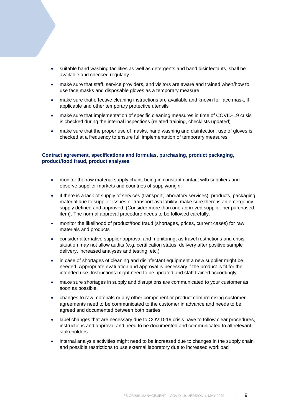- suitable hand washing facilities as well as detergents and hand disinfectants, shall be available and checked regularly
- make sure that staff, service providers, and visitors are aware and trained when/how to use face masks and disposable gloves as a temporary measure
- make sure that effective cleaning instructions are available and known for face mask, if applicable and other temporary protective utensils
- make sure that implementation of specific cleaning measures in time of COVID-19 crisis is checked during the internal inspections (related training, checklists updated)
- make sure that the proper use of masks, hand washing and disinfection, use of gloves is checked at a frequency to ensure full implementation of temporary measures

#### **Contract agreement, specifications and formulas, purchasing, product packaging, product/food fraud, product analyses**

- monitor the raw material supply chain, being in constant contact with suppliers and observe supplier markets and countries of supply/origin.
- if there is a lack of supply of services (transport, laboratory services), products, packaging material due to supplier issues or transport availability, make sure there is an emergency supply defined and approved. (Consider more than one approved supplier per purchased item). The normal approval procedure needs to be followed carefully.
- monitor the likelihood of product/food fraud (shortages, prices, current cases) for raw materials and products
- consider alternative supplier approval and monitoring, as travel restrictions and crisis situation may not allow audits (e.g. certification status, delivery after positive sample delivery, increased analyses and testing, etc.)
- in case of shortages of cleaning and disinfectant equipment a new supplier might be needed. Appropriate evaluation and approval is necessary if the product is fit for the intended use. Instructions might need to be updated and staff trained accordingly.
- make sure shortages in supply and disruptions are communicated to your customer as soon as possible.
- changes to raw materials or any other component or product compromising customer agreements need to be communicated to the customer in advance and needs to be agreed and documented between both parties.
- label changes that are necessary due to COVID-19 crisis have to follow clear procedures, instructions and approval and need to be documented and communicated to all relevant stakeholders.
- internal analysis activities might need to be increased due to changes in the supply chain and possible restrictions to use external laboratory due to increased workload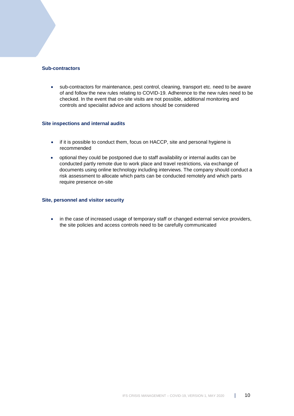#### **Sub-contractors**

• sub-contractors for maintenance, pest control, cleaning, transport etc. need to be aware of and follow the new rules relating to COVID-19. Adherence to the new rules need to be checked. In the event that on-site visits are not possible, additional monitoring and controls and specialist advice and actions should be considered

#### **Site inspections and internal audits**

- if it is possible to conduct them, focus on HACCP, site and personal hygiene is recommended
- optional they could be postponed due to staff availability or internal audits can be conducted partly remote due to work place and travel restrictions, via exchange of documents using online technology including interviews. The company should conduct a risk assessment to allocate which parts can be conducted remotely and which parts require presence on-site

#### **Site, personnel and visitor security**

• in the case of increased usage of temporary staff or changed external service providers, the site policies and access controls need to be carefully communicated